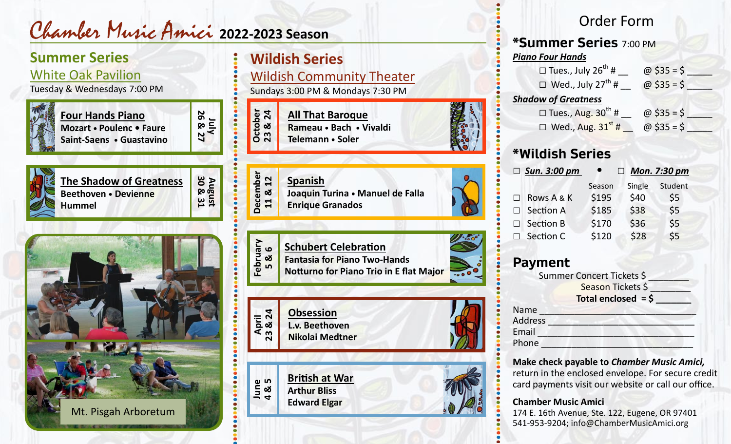## Chamber Music Amici **2022-2023 Season**

#### **Summer Series**  White Oak Pavilion

Tuesday & Wednesdays 7:00 PM



**Four Hands Piano Mozart • Poulenc • Faure Saint-Saens • Guastavino**



**30 & 31 August**



| <b>The Shadow of Greatness</b> |
|--------------------------------|
| <b>Beethoven • Devienne</b>    |
| <b>Hummel</b>                  |



### **Wildish Series**

Wildish Community Theater

Sundays 3:00 PM & Mondays 7:30 PM

**All That Baroque Rameau • Bach • Vivaldi October 23 & 24 Telemann • Soler**

**Spanish Joaquin Turina • Manuel de Falla Enrique Granados December 11 & 12**

**Schubert Celebration Fantasia for Piano Two-Hands Notturno for Piano Trio in E flat Major February 5 & 6**

**Obsession L.v. Beethoven Nikolai Medtner April 23 & 24**



#### Order Form

#### **\*Summer Series** 7:00 PM *Piano Four Hands*

| $\Box$ Tues., July 26 <sup>th</sup> # | @ $$35 = $$   |
|---------------------------------------|---------------|
| $\Box$ Wed., July 27 <sup>th</sup> #  | $@$ \$35 = \$ |
| <b>Shadow of Greatness</b>            |               |
| $\Box$ Tues., Aug. 30 <sup>th</sup> # | @ $$35 = $$   |
| $\Box$ Wed., Aug. 31 <sup>st</sup> #  | $@$35 = $$    |
|                                       |               |

#### **\*Wildish Series**

| $\Box$ Sun. 3:00 pm        |        | $\Box$ Mon. 7:30 pm |         |
|----------------------------|--------|---------------------|---------|
|                            | Season | Single              | Student |
| Rows A & K<br>П            | \$195  | \$40                | \$5     |
| <b>Section A</b><br>$\Box$ | \$185  | \$38                | \$5     |
| $\Box$ Section B           | \$170  | \$36                | \$5     |
| Section C<br>$\perp$       | \$120  | \$28                | \$5     |

#### **Payment**

|                | Summer Concert Tickets \$ |
|----------------|---------------------------|
|                | Season Tickets \$         |
|                | Total enclosed $=$ \$     |
| Name           |                           |
| <b>Address</b> |                           |
| Email          |                           |
| Phone          |                           |

**Make check payable to** *Chamber Music Amici,*  return in the enclosed envelope. For secure credit card payments visit our website or call our office.

#### **Chamber Music Amici**

174 E. 16th Avenue, Ste. 122, Eugene, OR 97401 541-953-9204; info@ChamberMusicAmici.org